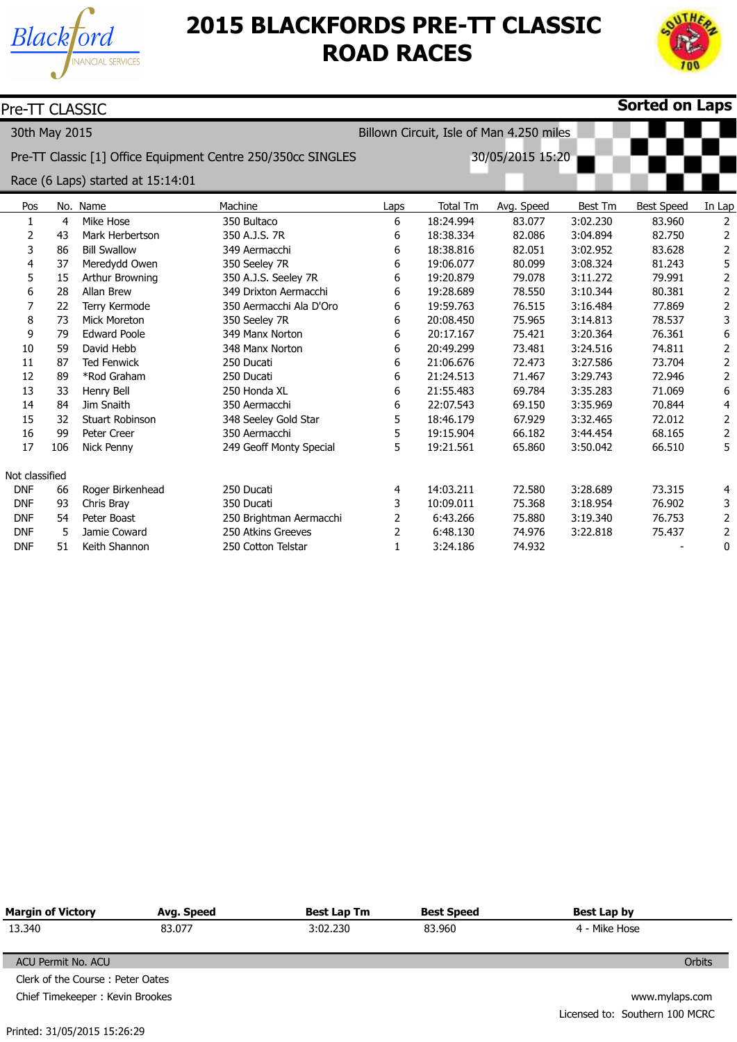



| Pre-TT CLASSIC |               |                                   |                                                              |                |                                          |                  |          | Sorted on Laps    |                         |
|----------------|---------------|-----------------------------------|--------------------------------------------------------------|----------------|------------------------------------------|------------------|----------|-------------------|-------------------------|
|                | 30th May 2015 |                                   |                                                              |                | Billown Circuit, Isle of Man 4.250 miles |                  |          |                   |                         |
|                |               |                                   | Pre-TT Classic [1] Office Equipment Centre 250/350cc SINGLES |                |                                          | 30/05/2015 15:20 |          |                   |                         |
|                |               | Race (6 Laps) started at 15:14:01 |                                                              |                |                                          |                  |          |                   |                         |
| Pos            |               | No. Name                          | Machine                                                      | Laps           | <b>Total Tm</b>                          | Avg. Speed       | Best Tm  | <b>Best Speed</b> | In Lap                  |
| 1              | 4             | Mike Hose                         | 350 Bultaco                                                  | 6              | 18:24.994                                | 83.077           | 3:02.230 | 83.960            | 2                       |
| 2              | 43            | Mark Herbertson                   | 350 A.J.S. 7R                                                | 6              | 18:38.334                                | 82.086           | 3:04.894 | 82.750            | 2                       |
| 3              | 86            | <b>Bill Swallow</b>               | 349 Aermacchi                                                | 6              | 18:38.816                                | 82.051           | 3:02.952 | 83.628            | $\overline{2}$          |
| 4              | 37            | Meredydd Owen                     | 350 Seeley 7R                                                | 6              | 19:06.077                                | 80.099           | 3:08.324 | 81.243            | 5                       |
| 5              | 15            | Arthur Browning                   | 350 A.J.S. Seeley 7R                                         | 6              | 19:20.879                                | 79.078           | 3:11.272 | 79.991            | $\overline{2}$          |
| 6              | 28            | <b>Allan Brew</b>                 | 349 Drixton Aermacchi                                        | 6              | 19:28.689                                | 78.550           | 3:10.344 | 80.381            | $\overline{2}$          |
| 7              | 22            | Terry Kermode                     | 350 Aermacchi Ala D'Oro                                      | 6              | 19:59.763                                | 76.515           | 3:16.484 | 77.869            | $\overline{2}$          |
| 8              | 73            | <b>Mick Moreton</b>               | 350 Seeley 7R                                                | 6              | 20:08.450                                | 75.965           | 3:14.813 | 78.537            | 3                       |
| 9              | 79            | <b>Edward Poole</b>               | 349 Manx Norton                                              | 6              | 20:17.167                                | 75.421           | 3:20.364 | 76.361            | 6                       |
| 10             | 59            | David Hebb                        | 348 Manx Norton                                              | 6              | 20:49.299                                | 73.481           | 3:24.516 | 74.811            | $\overline{2}$          |
| 11             | 87            | <b>Ted Fenwick</b>                | 250 Ducati                                                   | 6              | 21:06.676                                | 72.473           | 3:27.586 | 73.704            | $\overline{2}$          |
| 12             | 89            | *Rod Graham                       | 250 Ducati                                                   | 6              | 21:24.513                                | 71.467           | 3:29.743 | 72.946            | $\mathbf{2}$            |
| 13             | 33            | Henry Bell                        | 250 Honda XL                                                 | 6              | 21:55.483                                | 69.784           | 3:35.283 | 71.069            | 6                       |
| 14             | 84            | Jim Snaith                        | 350 Aermacchi                                                | 6              | 22:07.543                                | 69.150           | 3:35.969 | 70.844            | $\overline{\mathbf{4}}$ |
| 15             | 32            | <b>Stuart Robinson</b>            | 348 Seeley Gold Star                                         | 5              | 18:46.179                                | 67.929           | 3:32.465 | 72.012            | $\overline{2}$          |
| 16             | 99            | Peter Creer                       | 350 Aermacchi                                                | 5              | 19:15.904                                | 66.182           | 3:44.454 | 68.165            | $\overline{2}$          |
| 17             | 106           | Nick Penny                        | 249 Geoff Monty Special                                      | 5              | 19:21.561                                | 65.860           | 3:50.042 | 66.510            | 5                       |
| Not classified |               |                                   |                                                              |                |                                          |                  |          |                   |                         |
| <b>DNF</b>     | 66            | Roger Birkenhead                  | 250 Ducati                                                   | 4              | 14:03.211                                | 72.580           | 3:28.689 | 73.315            | 4                       |
| <b>DNF</b>     | 93            | Chris Bray                        | 350 Ducati                                                   | 3              | 10:09.011                                | 75.368           | 3:18.954 | 76.902            | 3                       |
| <b>DNF</b>     | 54            | Peter Boast                       | 250 Brightman Aermacchi                                      | 2              | 6:43.266                                 | 75.880           | 3:19.340 | 76.753            | $\overline{2}$          |
| <b>DNF</b>     | 5             | Jamie Coward                      | 250 Atkins Greeves                                           | $\overline{2}$ | 6:48.130                                 | 74.976           | 3:22.818 | 75.437            | $\overline{2}$          |
| <b>DNF</b>     | 51            | Keith Shannon                     | 250 Cotton Telstar                                           | $\mathbf{1}$   | 3:24.186                                 | 74.932           |          |                   | $\mathbf 0$             |

| <b>Margin of Victory</b><br>Avg. Speed |        | <b>Best Lap Tm</b> | <b>Best Speed</b> | Best Lap by                    |
|----------------------------------------|--------|--------------------|-------------------|--------------------------------|
| 13.340                                 | 83.077 | 3:02.230           | 83.960            | 4 - Mike Hose                  |
|                                        |        |                    |                   |                                |
| ACU Permit No. ACU                     |        |                    |                   | Orbits                         |
| Clerk of the Course: Peter Oates       |        |                    |                   |                                |
| Chief Timekeeper: Kevin Brookes        |        |                    |                   | www.mylaps.com                 |
|                                        |        |                    |                   | Licensed to: Southern 100 MCRC |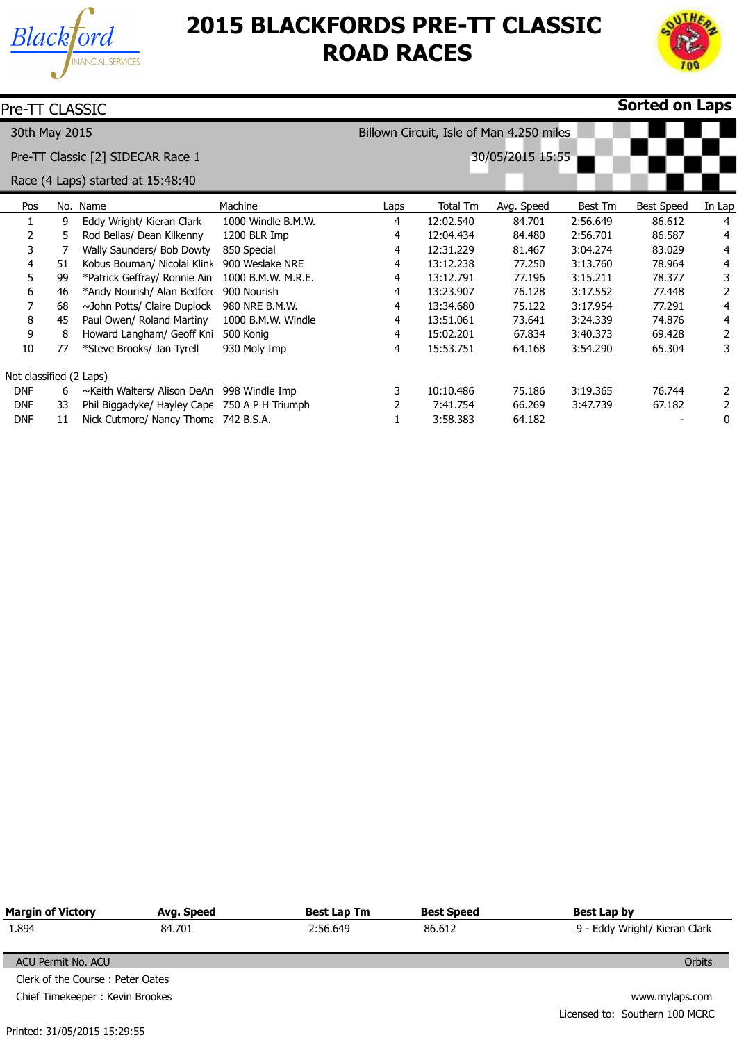



| Pre-TT CLASSIC          |     |                                               |                    |      |           |                                          |          | <b>Sorted on Laps</b> |        |
|-------------------------|-----|-----------------------------------------------|--------------------|------|-----------|------------------------------------------|----------|-----------------------|--------|
| 30th May 2015           |     |                                               |                    |      |           | Billown Circuit, Isle of Man 4.250 miles |          |                       |        |
|                         |     | Pre-TT Classic [2] SIDECAR Race 1             | 30/05/2015 15:55   |      |           |                                          |          |                       |        |
|                         |     | Race (4 Laps) started at 15:48:40             |                    |      |           |                                          |          |                       |        |
| Pos                     | No. | Name                                          | Machine            | Laps | Total Tm  | Avg. Speed                               | Best Tm  | Best Speed            | In Lap |
|                         | 9   | Eddy Wright/ Kieran Clark                     | 1000 Windle B.M.W. | 4    | 12:02.540 | 84.701                                   | 2:56.649 | 86.612                | 4      |
| 2                       | 5   | Rod Bellas/ Dean Kilkenny                     | 1200 BLR Imp       | 4    | 12:04.434 | 84.480                                   | 2:56.701 | 86.587                | 4      |
| 3                       | 7   | Wally Saunders/ Bob Dowty                     | 850 Special        | 4    | 12:31.229 | 81.467                                   | 3:04.274 | 83.029                | 4      |
| 4                       | 51  | Kobus Bouman/ Nicolai Klink                   | 900 Weslake NRE    | 4    | 13:12.238 | 77.250                                   | 3:13.760 | 78.964                | 4      |
| 5.                      | 99  | *Patrick Geffray/ Ronnie Ain                  | 1000 B.M.W. M.R.E. | 4    | 13:12.791 | 77.196                                   | 3:15.211 | 78.377                | 3      |
| 6                       | 46  | *Andy Nourish/ Alan Bedford                   | 900 Nourish        | 4    | 13:23.907 | 76.128                                   | 3:17.552 | 77.448                | 2      |
|                         | 68  | ~John Potts/ Claire Duplock                   | 980 NRE B.M.W.     | 4    | 13:34.680 | 75.122                                   | 3:17.954 | 77.291                | 4      |
| 8                       | 45  | Paul Owen/ Roland Martiny                     | 1000 B.M.W. Windle | 4    | 13:51.061 | 73.641                                   | 3:24.339 | 74.876                | 4      |
| 9                       | 8   | Howard Langham/ Geoff Kni                     | 500 Konig          | 4    | 15:02.201 | 67.834                                   | 3:40.373 | 69.428                | 2      |
| 10                      | 77  | *Steve Brooks/ Jan Tyrell                     | 930 Moly Imp       | 4    | 15:53.751 | 64.168                                   | 3:54.290 | 65.304                | 3      |
| Not classified (2 Laps) |     |                                               |                    |      |           |                                          |          |                       |        |
| <b>DNF</b>              | 6   | ~Keith Walters/ Alison DeAn                   | 998 Windle Imp     | 3    | 10:10.486 | 75.186                                   | 3:19.365 | 76.744                | 2      |
| <b>DNF</b>              | 33  | Phil Biggadyke/ Hayley Cape 750 A P H Triumph |                    |      | 7:41.754  | 66.269                                   | 3:47.739 | 67.182                | 2      |
| <b>DNF</b>              | 11  | Nick Cutmore/ Nancy Thom: 742 B.S.A.          |                    |      | 3:58.383  | 64.182                                   |          |                       | 0      |

| <b>Margin of Victory</b>         | Avg. Speed | <b>Best Lap Tm</b> | <b>Best Speed</b> | Best Lap by                    |
|----------------------------------|------------|--------------------|-------------------|--------------------------------|
| 1.894                            | 84.701     | 2:56.649           | 86.612            | 9 - Eddy Wright/ Kieran Clark  |
|                                  |            |                    |                   |                                |
| ACU Permit No. ACU               |            |                    |                   | Orbits                         |
| Clerk of the Course: Peter Oates |            |                    |                   |                                |
| Chief Timekeeper: Kevin Brookes  |            |                    |                   | www.mylaps.com                 |
|                                  |            |                    |                   | Licensed to: Southern 100 MCRC |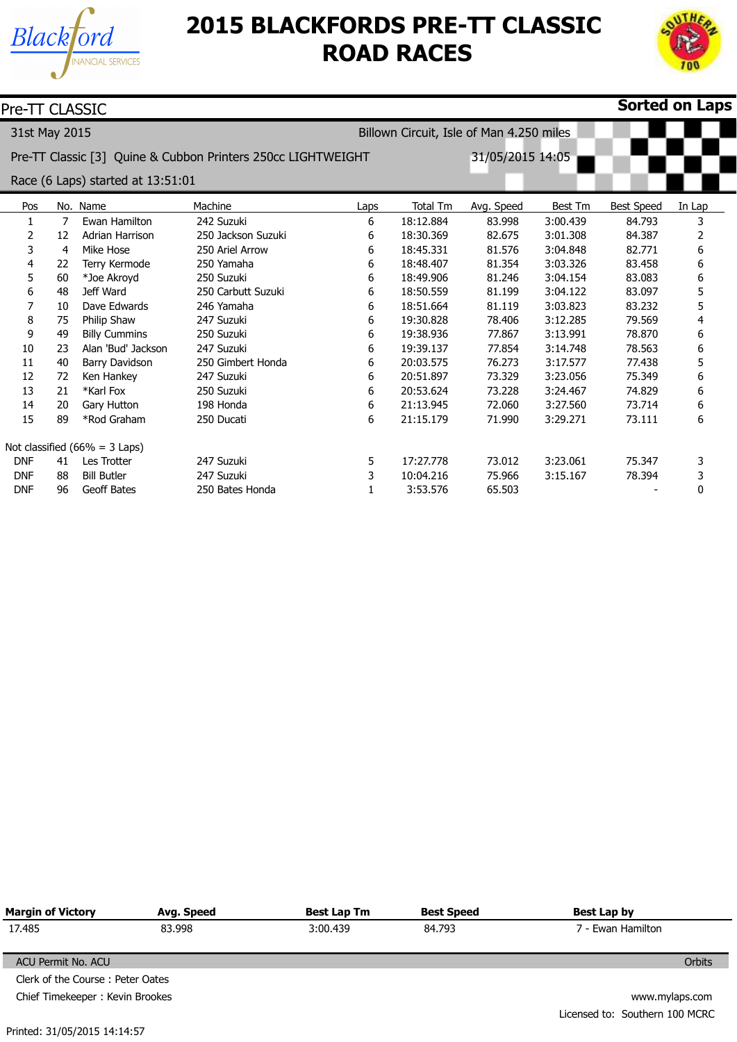



| Pre-TT CLASSIC                                            |                |                                   |                                                              |      |           |                  |                |                   | <b>Sorted on Laps</b> |
|-----------------------------------------------------------|----------------|-----------------------------------|--------------------------------------------------------------|------|-----------|------------------|----------------|-------------------|-----------------------|
| 31st May 2015<br>Billown Circuit, Isle of Man 4.250 miles |                |                                   |                                                              |      |           |                  |                |                   |                       |
|                                                           |                |                                   | Pre-TT Classic [3] Quine & Cubbon Printers 250cc LIGHTWEIGHT |      |           | 31/05/2015 14:05 |                |                   |                       |
|                                                           |                | Race (6 Laps) started at 13:51:01 |                                                              |      |           |                  |                |                   |                       |
| Pos                                                       |                | No. Name                          | Machine                                                      | Laps | Total Tm  | Avg. Speed       | <b>Best Tm</b> | <b>Best Speed</b> | In Lap                |
| 1                                                         | 7              | Ewan Hamilton                     | 242 Suzuki                                                   | 6    | 18:12.884 | 83.998           | 3:00.439       | 84.793            | 3                     |
| 2                                                         | 12             | Adrian Harrison                   | 250 Jackson Suzuki                                           | 6    | 18:30.369 | 82.675           | 3:01.308       | 84.387            | 2                     |
| 3                                                         | $\overline{4}$ | Mike Hose                         | 250 Ariel Arrow                                              | 6    | 18:45.331 | 81.576           | 3:04.848       | 82.771            | 6                     |
| 4                                                         | 22             | Terry Kermode                     | 250 Yamaha                                                   | 6    | 18:48.407 | 81.354           | 3:03.326       | 83.458            | 6                     |
| 5                                                         | 60             | *Joe Akroyd                       | 250 Suzuki                                                   | 6    | 18:49.906 | 81.246           | 3:04.154       | 83.083            | 6                     |
| 6                                                         | 48             | Jeff Ward                         | 250 Carbutt Suzuki                                           | 6    | 18:50.559 | 81.199           | 3:04.122       | 83.097            | 5                     |
|                                                           | 10             | Dave Edwards                      | 246 Yamaha                                                   | 6    | 18:51.664 | 81.119           | 3:03.823       | 83.232            | 5                     |
| 8                                                         | 75             | Philip Shaw                       | 247 Suzuki                                                   | 6    | 19:30.828 | 78.406           | 3:12.285       | 79.569            | 4                     |
| 9                                                         | 49             | <b>Billy Cummins</b>              | 250 Suzuki                                                   | 6    | 19:38.936 | 77.867           | 3:13.991       | 78,870            | 6                     |
| 10                                                        | 23             | Alan 'Bud' Jackson                | 247 Suzuki                                                   | 6    | 19:39.137 | 77.854           | 3:14.748       | 78.563            | 6                     |
| 11                                                        | 40             | Barry Davidson                    | 250 Gimbert Honda                                            | 6    | 20:03.575 | 76.273           | 3:17.577       | 77.438            | 5                     |
| 12                                                        | 72             | Ken Hankey                        | 247 Suzuki                                                   | 6    | 20:51.897 | 73.329           | 3:23.056       | 75.349            | 6                     |
| 13                                                        | 21             | *Karl Fox                         | 250 Suzuki                                                   | 6    | 20:53.624 | 73.228           | 3:24.467       | 74.829            | 6                     |
| 14                                                        | 20             | Gary Hutton                       | 198 Honda                                                    | 6    | 21:13.945 | 72.060           | 3:27.560       | 73.714            | 6                     |
| 15                                                        | 89             | *Rod Graham                       | 250 Ducati                                                   | 6    | 21:15.179 | 71.990           | 3:29.271       | 73.111            | 6                     |
|                                                           |                | Not classified $(66\% = 3$ Laps)  |                                                              |      |           |                  |                |                   |                       |
| <b>DNF</b>                                                | 41             | Les Trotter                       | 247 Suzuki                                                   | 5    | 17:27.778 | 73.012           | 3:23.061       | 75.347            | 3                     |
| <b>DNF</b>                                                | 88             | <b>Bill Butler</b>                | 247 Suzuki                                                   | 3    | 10:04.216 | 75.966           | 3:15.167       | 78.394            | 3                     |
| <b>DNF</b>                                                | 96             | Geoff Bates                       | 250 Bates Honda                                              |      | 3:53.576  | 65.503           |                |                   | 0                     |

| <b>Margin of Victory</b>         | Avg. Speed | <b>Best Lap Tm</b> | <b>Best Speed</b> | Best Lap by                    |
|----------------------------------|------------|--------------------|-------------------|--------------------------------|
| 17.485                           | 83.998     | 3:00.439           | 84.793            | 7 - Ewan Hamilton              |
| ACU Permit No. ACU               |            |                    |                   | <b>Orbits</b>                  |
| Clerk of the Course: Peter Oates |            |                    |                   |                                |
| Chief Timekeeper: Kevin Brookes  |            |                    |                   | www.mylaps.com                 |
|                                  |            |                    |                   | Licensed to: Southern 100 MCRC |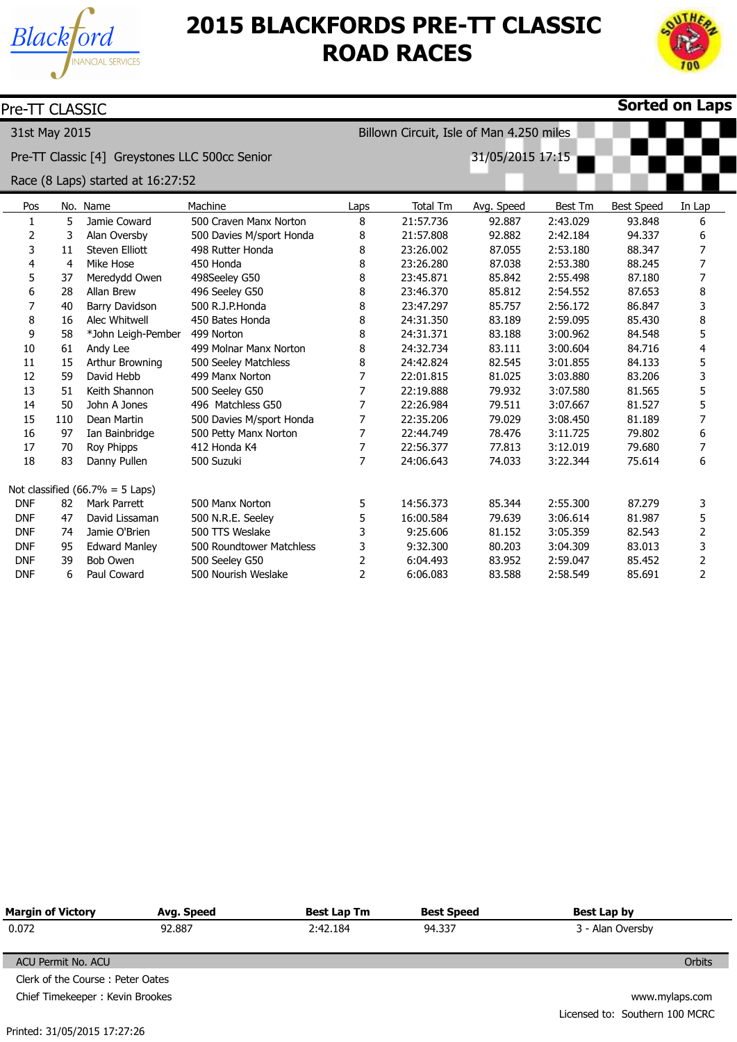



| Pre-TT CLASSIC |     |                                                |                          |                |                 |                                          |          |                   | <b>Sorted on Laps</b> |
|----------------|-----|------------------------------------------------|--------------------------|----------------|-----------------|------------------------------------------|----------|-------------------|-----------------------|
| 31st May 2015  |     |                                                |                          |                |                 | Billown Circuit, Isle of Man 4.250 miles |          |                   |                       |
|                |     | Pre-TT Classic [4] Greystones LLC 500cc Senior |                          |                |                 | 31/05/2015 17:15                         |          |                   |                       |
|                |     | Race (8 Laps) started at 16:27:52              |                          |                |                 |                                          |          |                   |                       |
| Pos            |     | No. Name                                       | Machine                  | Laps           | <b>Total Tm</b> | Avg. Speed                               | Best Tm  | <b>Best Speed</b> | In Lap                |
| $\mathbf{1}$   | 5   | Jamie Coward                                   | 500 Craven Manx Norton   | 8              | 21:57.736       | 92.887                                   | 2:43.029 | 93.848            | 6                     |
| 2              | 3   | Alan Oversby                                   | 500 Davies M/sport Honda | 8              | 21:57.808       | 92.882                                   | 2:42.184 | 94.337            | 6                     |
| 3              | 11  | Steven Elliott                                 | 498 Rutter Honda         | 8              | 23:26.002       | 87.055                                   | 2:53.180 | 88.347            | 7                     |
| 4              | 4   | Mike Hose                                      | 450 Honda                | 8              | 23:26.280       | 87.038                                   | 2:53.380 | 88.245            | 7                     |
| 5              | 37  | Meredydd Owen                                  | 498Seeley G50            | 8              | 23:45.871       | 85.842                                   | 2:55.498 | 87.180            | 7                     |
| 6              | 28  | Allan Brew                                     | 496 Seeley G50           | 8              | 23:46.370       | 85.812                                   | 2:54.552 | 87.653            | 8                     |
| 7              | 40  | Barry Davidson                                 | 500 R.J.P.Honda          | 8              | 23:47.297       | 85.757                                   | 2:56.172 | 86.847            | 3                     |
| 8              | 16  | Alec Whitwell                                  | 450 Bates Honda          | 8              | 24:31.350       | 83.189                                   | 2:59.095 | 85.430            | 8                     |
| 9              | 58  | *John Leigh-Pember                             | 499 Norton               | 8              | 24:31.371       | 83.188                                   | 3:00.962 | 84.548            | 5                     |
| 10             | 61  | Andy Lee                                       | 499 Molnar Manx Norton   | 8              | 24:32.734       | 83.111                                   | 3:00.604 | 84.716            | 4                     |
| 11             | 15  | Arthur Browning                                | 500 Seeley Matchless     | 8              | 24:42.824       | 82.545                                   | 3:01.855 | 84.133            | 5                     |
| 12             | 59  | David Hebb                                     | 499 Manx Norton          | 7              | 22:01.815       | 81.025                                   | 3:03.880 | 83.206            | 3                     |
| 13             | 51  | Keith Shannon                                  | 500 Seeley G50           | 7              | 22:19.888       | 79.932                                   | 3:07.580 | 81.565            | 5                     |
| 14             | 50  | John A Jones                                   | 496 Matchless G50        | 7              | 22:26.984       | 79.511                                   | 3:07.667 | 81.527            | 5                     |
| 15             | 110 | Dean Martin                                    | 500 Davies M/sport Honda | 7              | 22:35.206       | 79.029                                   | 3:08.450 | 81.189            | 7                     |
| 16             | 97  | Ian Bainbridge                                 | 500 Petty Manx Norton    | 7              | 22:44.749       | 78.476                                   | 3:11.725 | 79.802            | 6                     |
| 17             | 70  | Roy Phipps                                     | 412 Honda K4             | 7              | 22:56.377       | 77,813                                   | 3:12.019 | 79.680            | 7                     |
| 18             | 83  | Danny Pullen                                   | 500 Suzuki               | 7              | 24:06.643       | 74.033                                   | 3:22.344 | 75.614            | 6                     |
|                |     | Not classified $(66.7\% = 5$ Laps)             |                          |                |                 |                                          |          |                   |                       |
| <b>DNF</b>     | 82  | Mark Parrett                                   | 500 Manx Norton          | 5              | 14:56.373       | 85.344                                   | 2:55.300 | 87.279            | 3                     |
| <b>DNF</b>     | 47  | David Lissaman                                 | 500 N.R.E. Seeley        | 5              | 16:00.584       | 79.639                                   | 3:06.614 | 81.987            | 5                     |
| <b>DNF</b>     | 74  | Jamie O'Brien                                  | 500 TTS Weslake          | 3              | 9:25.606        | 81.152                                   | 3:05.359 | 82.543            | $\overline{2}$        |
| <b>DNF</b>     | 95  | <b>Edward Manley</b>                           | 500 Roundtower Matchless | 3              | 9:32.300        | 80.203                                   | 3:04.309 | 83.013            | 3                     |
| <b>DNF</b>     | 39  | <b>Bob Owen</b>                                | 500 Seeley G50           | $\overline{2}$ | 6:04.493        | 83.952                                   | 2:59.047 | 85.452            | 2                     |
| <b>DNF</b>     | 6   | Paul Coward                                    | 500 Nourish Weslake      | $\overline{2}$ | 6:06.083        | 83.588                                   | 2:58.549 | 85.691            | $\overline{2}$        |

| <b>Margin of Victory</b><br>Avg. Speed |  | <b>Best Lap Tm</b> | <b>Best Speed</b> | Best Lap by                    |  |  |
|----------------------------------------|--|--------------------|-------------------|--------------------------------|--|--|
| 0.072<br>92.887<br>2:42.184<br>94.337  |  |                    | 3 - Alan Oversby  |                                |  |  |
| ACU Permit No. ACU                     |  |                    |                   | Orbits                         |  |  |
| Clerk of the Course: Peter Oates       |  |                    |                   |                                |  |  |
| Chief Timekeeper: Kevin Brookes        |  |                    |                   | www.mylaps.com                 |  |  |
|                                        |  |                    |                   | Licensed to: Southern 100 MCRC |  |  |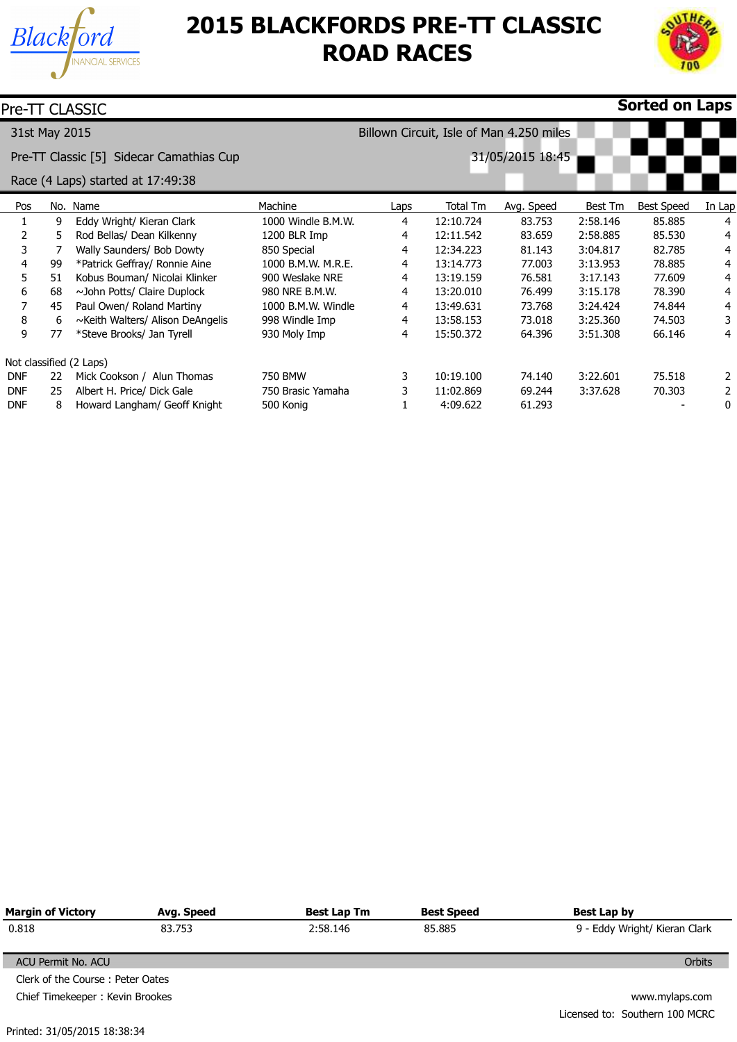



|               |    | Pre-TT CLASSIC                           |                    |      |           |                                          |          | Sorted on Laps    |        |
|---------------|----|------------------------------------------|--------------------|------|-----------|------------------------------------------|----------|-------------------|--------|
| 31st May 2015 |    |                                          |                    |      |           | Billown Circuit, Isle of Man 4.250 miles |          |                   |        |
|               |    | Pre-TT Classic [5] Sidecar Camathias Cup | 31/05/2015 18:45   |      |           |                                          |          |                   |        |
|               |    | Race (4 Laps) started at 17:49:38        |                    |      |           |                                          |          |                   |        |
| Pos           |    | No. Name                                 | Machine            | Laps | Total Tm  | Avg. Speed                               | Best Tm  | <b>Best Speed</b> | In Lap |
|               | 9  | Eddy Wright/ Kieran Clark                | 1000 Windle B.M.W. | 4    | 12:10.724 | 83.753                                   | 2:58.146 | 85.885            | 4      |
| 2             | 5  | Rod Bellas/ Dean Kilkenny                | 1200 BLR Imp       | 4    | 12:11.542 | 83.659                                   | 2:58.885 | 85.530            | 4      |
| 3             |    | Wally Saunders/ Bob Dowty                | 850 Special        | 4    | 12:34.223 | 81.143                                   | 3:04.817 | 82.785            | 4      |
| 4             | 99 | *Patrick Geffray/ Ronnie Aine            | 1000 B.M.W. M.R.E. | 4    | 13:14.773 | 77.003                                   | 3:13.953 | 78.885            | 4      |
| 5             | 51 | Kobus Bouman/ Nicolai Klinker            | 900 Weslake NRE    | 4    | 13:19.159 | 76.581                                   | 3:17.143 | 77.609            | 4      |
| 6             | 68 | ~John Potts/ Claire Duplock              | 980 NRE B.M.W.     | 4    | 13:20.010 | 76.499                                   | 3:15.178 | 78.390            | 4      |
| 7             | 45 | Paul Owen/ Roland Martiny                | 1000 B.M.W. Windle | 4    | 13:49.631 | 73.768                                   | 3:24.424 | 74.844            | 4      |
| 8             | 6  | ~Keith Walters/ Alison DeAngelis         | 998 Windle Imp     | 4    | 13:58.153 | 73.018                                   | 3:25.360 | 74.503            | 3      |
| 9             | 77 | *Steve Brooks/ Jan Tyrell                | 930 Moly Imp       | 4    | 15:50.372 | 64.396                                   | 3:51.308 | 66.146            | 4      |
|               |    | Not classified (2 Laps)                  |                    |      |           |                                          |          |                   |        |
| <b>DNF</b>    | 22 | Mick Cookson / Alun Thomas               | 750 BMW            | 3    | 10:19.100 | 74.140                                   | 3:22.601 | 75.518            | 2      |
| <b>DNF</b>    | 25 | Albert H. Price/ Dick Gale               | 750 Brasic Yamaha  | 3    | 11:02.869 | 69.244                                   | 3:37.628 | 70.303            | 2      |
| <b>DNF</b>    | 8  | Howard Langham/ Geoff Knight             | 500 Konig          |      | 4:09.622  | 61.293                                   |          |                   | 0      |

| <b>Margin of Victory</b>         | Avg. Speed | <b>Best Lap Tm</b> | <b>Best Speed</b> | Best Lap by                    |
|----------------------------------|------------|--------------------|-------------------|--------------------------------|
| 0.818                            | 83.753     | 2:58.146           | 85.885            | 9 - Eddy Wright/ Kieran Clark  |
|                                  |            |                    |                   |                                |
| ACU Permit No. ACU               |            |                    |                   | Orbits                         |
| Clerk of the Course: Peter Oates |            |                    |                   |                                |
| Chief Timekeeper: Kevin Brookes  |            |                    |                   | www.mylaps.com                 |
|                                  |            |                    |                   | Licensed to: Southern 100 MCRC |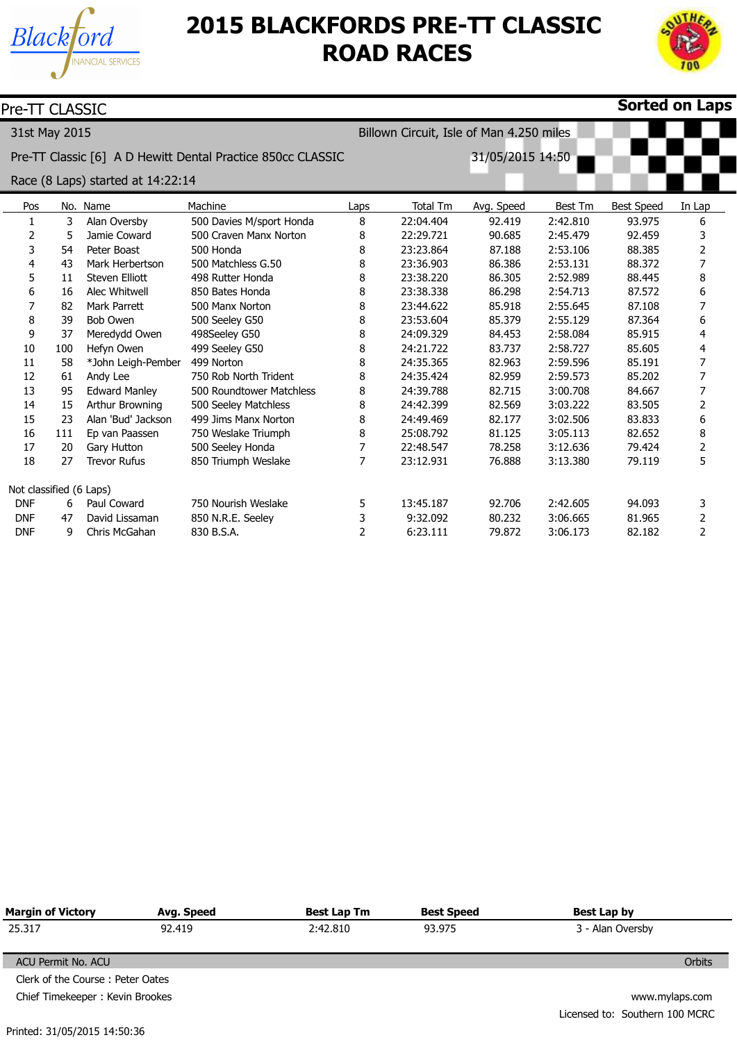



| <b>Sorted on Laps</b><br>Pre-TT CLASSIC |     |                                   |                                                             |                |                                          |                  |                |                   |                |
|-----------------------------------------|-----|-----------------------------------|-------------------------------------------------------------|----------------|------------------------------------------|------------------|----------------|-------------------|----------------|
| 31st May 2015                           |     |                                   |                                                             |                | Billown Circuit, Isle of Man 4.250 miles |                  |                |                   |                |
|                                         |     |                                   | Pre-TT Classic [6] A D Hewitt Dental Practice 850cc CLASSIC |                |                                          | 31/05/2015 14:50 |                |                   |                |
|                                         |     | Race (8 Laps) started at 14:22:14 |                                                             |                |                                          |                  |                |                   |                |
| Pos                                     |     | No. Name                          | Machine                                                     | Laps           | Total Tm                                 | Avg. Speed       | <b>Best Tm</b> | <b>Best Speed</b> | In Lap         |
| 1                                       | 3   | Alan Oversby                      | 500 Davies M/sport Honda                                    | 8              | 22:04.404                                | 92.419           | 2:42.810       | 93.975            | 6              |
| $\overline{2}$                          | 5   | Jamie Coward                      | 500 Craven Manx Norton                                      | 8              | 22:29.721                                | 90.685           | 2:45.479       | 92.459            | 3              |
| 3                                       | 54  | Peter Boast                       | 500 Honda                                                   | 8              | 23:23.864                                | 87.188           | 2:53.106       | 88.385            | 2              |
| 4                                       | 43  | Mark Herbertson                   | 500 Matchless G.50                                          | 8              | 23:36.903                                | 86.386           | 2:53.131       | 88.372            | 7              |
| 5                                       | 11  | <b>Steven Elliott</b>             | 498 Rutter Honda                                            | 8              | 23:38.220                                | 86.305           | 2:52.989       | 88.445            | 8              |
| 6                                       | 16  | Alec Whitwell                     | 850 Bates Honda                                             | 8              | 23:38.338                                | 86.298           | 2:54.713       | 87.572            | 6              |
| 7                                       | 82  | <b>Mark Parrett</b>               | 500 Manx Norton                                             | 8              | 23:44.622                                | 85.918           | 2:55.645       | 87.108            | 7              |
| 8                                       | 39  | <b>Bob Owen</b>                   | 500 Seeley G50                                              | 8              | 23:53.604                                | 85.379           | 2:55.129       | 87.364            | 6              |
| 9                                       | 37  | Meredydd Owen                     | 498Seeley G50                                               | 8              | 24:09.329                                | 84.453           | 2:58.084       | 85.915            | 4              |
| 10                                      | 100 | Hefyn Owen                        | 499 Seeley G50                                              | 8              | 24:21.722                                | 83.737           | 2:58.727       | 85.605            | 4              |
| 11                                      | 58  | *John Leigh-Pember                | 499 Norton                                                  | 8              | 24:35.365                                | 82.963           | 2:59.596       | 85.191            | 7              |
| 12                                      | 61  | Andy Lee                          | 750 Rob North Trident                                       | 8              | 24:35.424                                | 82.959           | 2:59.573       | 85.202            | 7              |
| 13                                      | 95  | <b>Edward Manley</b>              | 500 Roundtower Matchless                                    | 8              | 24:39.788                                | 82.715           | 3:00.708       | 84.667            | 7              |
| 14                                      | 15  | Arthur Browning                   | 500 Seeley Matchless                                        | 8              | 24:42.399                                | 82.569           | 3:03.222       | 83.505            | $\overline{2}$ |
| 15                                      | 23  | Alan 'Bud' Jackson                | 499 Jims Manx Norton                                        | 8              | 24:49.469                                | 82.177           | 3:02.506       | 83.833            | 6              |
| 16                                      | 111 | Ep van Paassen                    | 750 Weslake Triumph                                         | 8              | 25:08.792                                | 81.125           | 3:05.113       | 82.652            | 8              |
| 17                                      | 20  | Gary Hutton                       | 500 Seeley Honda                                            | 7              | 22:48.547                                | 78.258           | 3:12.636       | 79.424            | 2              |
| 18                                      | 27  | <b>Trevor Rufus</b>               | 850 Triumph Weslake                                         | $\overline{7}$ | 23:12.931                                | 76.888           | 3:13.380       | 79.119            | 5              |
| Not classified (6 Laps)                 |     |                                   |                                                             |                |                                          |                  |                |                   |                |
| <b>DNF</b>                              | 6   | Paul Coward                       | 750 Nourish Weslake                                         | 5              | 13:45.187                                | 92.706           | 2:42.605       | 94.093            | 3              |
| <b>DNF</b>                              | 47  | David Lissaman                    | 850 N.R.E. Seeley                                           | 3              | 9:32.092                                 | 80.232           | 3:06.665       | 81.965            | 2              |
| <b>DNF</b>                              | 9   | Chris McGahan                     | 830 B.S.A.                                                  | 2              | 6:23.111                                 | 79.872           | 3:06.173       | 82.182            | $\overline{2}$ |

| Margin of Victory<br>Avg. Speed  |        | <b>Best Lap Tm</b> | <b>Best Speed</b> | Best Lap by                    |
|----------------------------------|--------|--------------------|-------------------|--------------------------------|
| 25.317                           | 92.419 | 2:42.810           | 93.975            | 3 - Alan Oversby               |
|                                  |        |                    |                   |                                |
| ACU Permit No. ACU               |        |                    |                   | <b>Orbits</b>                  |
| Clerk of the Course: Peter Oates |        |                    |                   |                                |
| Chief Timekeeper: Kevin Brookes  |        |                    |                   | www.mylaps.com                 |
|                                  |        |                    |                   | Licensed to: Southern 100 MCRC |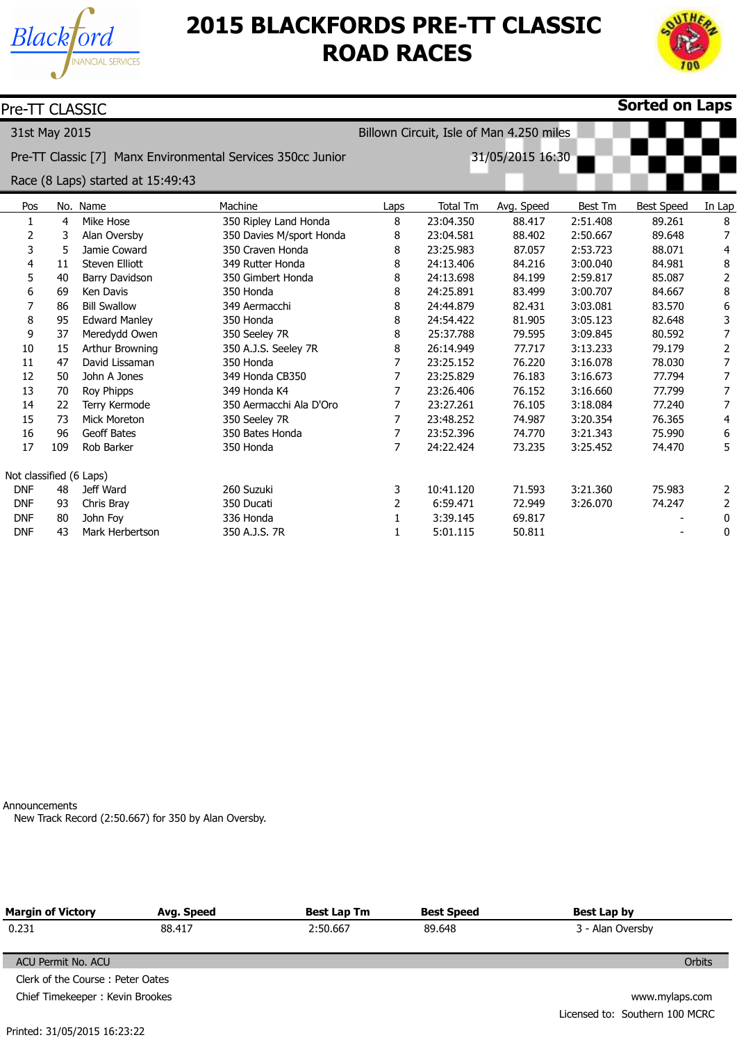



| Pre-TT CLASSIC          |     |                                   |                                                             |                  |                 |                                          |          | <b>Sorted on Laps</b> |                  |
|-------------------------|-----|-----------------------------------|-------------------------------------------------------------|------------------|-----------------|------------------------------------------|----------|-----------------------|------------------|
| 31st May 2015           |     |                                   |                                                             |                  |                 | Billown Circuit, Isle of Man 4.250 miles |          |                       |                  |
|                         |     |                                   | Pre-TT Classic [7] Manx Environmental Services 350cc Junior | 31/05/2015 16:30 |                 |                                          |          |                       |                  |
|                         |     | Race (8 Laps) started at 15:49:43 |                                                             |                  |                 |                                          |          |                       |                  |
| Pos                     |     | No. Name                          | Machine                                                     | Laps             | <b>Total Tm</b> | Avg. Speed                               | Best Tm  | <b>Best Speed</b>     | In Lap           |
| $\mathbf{1}$            | 4   | Mike Hose                         | 350 Ripley Land Honda                                       | 8                | 23:04.350       | 88.417                                   | 2:51.408 | 89.261                | 8                |
| 2                       | 3   | Alan Oversby                      | 350 Davies M/sport Honda                                    | 8                | 23:04.581       | 88.402                                   | 2:50.667 | 89.648                | 7                |
| 3                       | 5   | Jamie Coward                      | 350 Craven Honda                                            | 8                | 23:25.983       | 87.057                                   | 2:53.723 | 88.071                | 4                |
| 4                       | 11  | Steven Elliott                    | 349 Rutter Honda                                            | 8                | 24:13.406       | 84.216                                   | 3:00.040 | 84.981                | 8                |
| 5                       | 40  | Barry Davidson                    | 350 Gimbert Honda                                           | 8                | 24:13.698       | 84.199                                   | 2:59.817 | 85.087                | $\overline{2}$   |
| 6                       | 69  | Ken Davis                         | 350 Honda                                                   | 8                | 24:25.891       | 83.499                                   | 3:00.707 | 84.667                | $\,8\,$          |
| 7                       | 86  | <b>Bill Swallow</b>               | 349 Aermacchi                                               | 8                | 24:44.879       | 82.431                                   | 3:03.081 | 83.570                | 6                |
| 8                       | 95  | <b>Edward Manley</b>              | 350 Honda                                                   | 8                | 24:54.422       | 81.905                                   | 3:05.123 | 82.648                | 3                |
| 9                       | 37  | Meredydd Owen                     | 350 Seeley 7R                                               | 8                | 25:37.788       | 79.595                                   | 3:09.845 | 80.592                | 7                |
| 10                      | 15  | Arthur Browning                   | 350 A.J.S. Seeley 7R                                        | 8                | 26:14.949       | 77.717                                   | 3:13.233 | 79.179                | $\overline{2}$   |
| 11                      | 47  | David Lissaman                    | 350 Honda                                                   | $\overline{7}$   | 23:25.152       | 76.220                                   | 3:16.078 | 78.030                | $\overline{7}$   |
| 12                      | 50  | John A Jones                      | 349 Honda CB350                                             | $\overline{7}$   | 23:25.829       | 76.183                                   | 3:16.673 | 77.794                | $\overline{7}$   |
| 13                      | 70  | Roy Phipps                        | 349 Honda K4                                                | 7                | 23:26.406       | 76.152                                   | 3:16.660 | 77.799                | 7                |
| 14                      | 22  | Terry Kermode                     | 350 Aermacchi Ala D'Oro                                     | $\overline{7}$   | 23:27.261       | 76.105                                   | 3:18.084 | 77.240                | $\overline{7}$   |
| 15                      | 73  | Mick Moreton                      | 350 Seeley 7R                                               | $\overline{7}$   | 23:48.252       | 74.987                                   | 3:20.354 | 76.365                | 4                |
| 16                      | 96  | <b>Geoff Bates</b>                | 350 Bates Honda                                             | $\overline{7}$   | 23:52.396       | 74.770                                   | 3:21.343 | 75.990                | $\boldsymbol{6}$ |
| 17                      | 109 | Rob Barker                        | 350 Honda                                                   | $\overline{7}$   | 24:22.424       | 73.235                                   | 3:25.452 | 74.470                | 5                |
| Not classified (6 Laps) |     |                                   |                                                             |                  |                 |                                          |          |                       |                  |
| <b>DNF</b>              | 48  | Jeff Ward                         | 260 Suzuki                                                  | 3                | 10:41.120       | 71.593                                   | 3:21.360 | 75.983                | $\overline{2}$   |
| <b>DNF</b>              | 93  | Chris Bray                        | 350 Ducati                                                  | 2                | 6:59.471        | 72.949                                   | 3:26.070 | 74.247                | 2                |
| <b>DNF</b>              | 80  | John Foy                          | 336 Honda                                                   | 1                | 3:39.145        | 69.817                                   |          |                       | 0                |
| <b>DNF</b>              | 43  | Mark Herbertson                   | 350 A.J.S. 7R                                               | 1                | 5:01.115        | 50.811                                   |          |                       | 0                |

Announcements

New Track Record (2:50.667) for 350 by Alan Oversby.

| <b>Margin of Victory</b>         | Best Lap Tm<br>Avg. Speed |          | <b>Best Speed</b> | Best Lap by                    |
|----------------------------------|---------------------------|----------|-------------------|--------------------------------|
| 0.231                            | 88.417                    | 2:50.667 | 89.648            | 3 - Alan Oversby               |
| ACU Permit No. ACU               |                           |          |                   | Orbits                         |
| Clerk of the Course: Peter Oates |                           |          |                   |                                |
| Chief Timekeeper: Kevin Brookes  |                           |          |                   | www.mylaps.com                 |
|                                  |                           |          |                   | Licensed to: Southern 100 MCRC |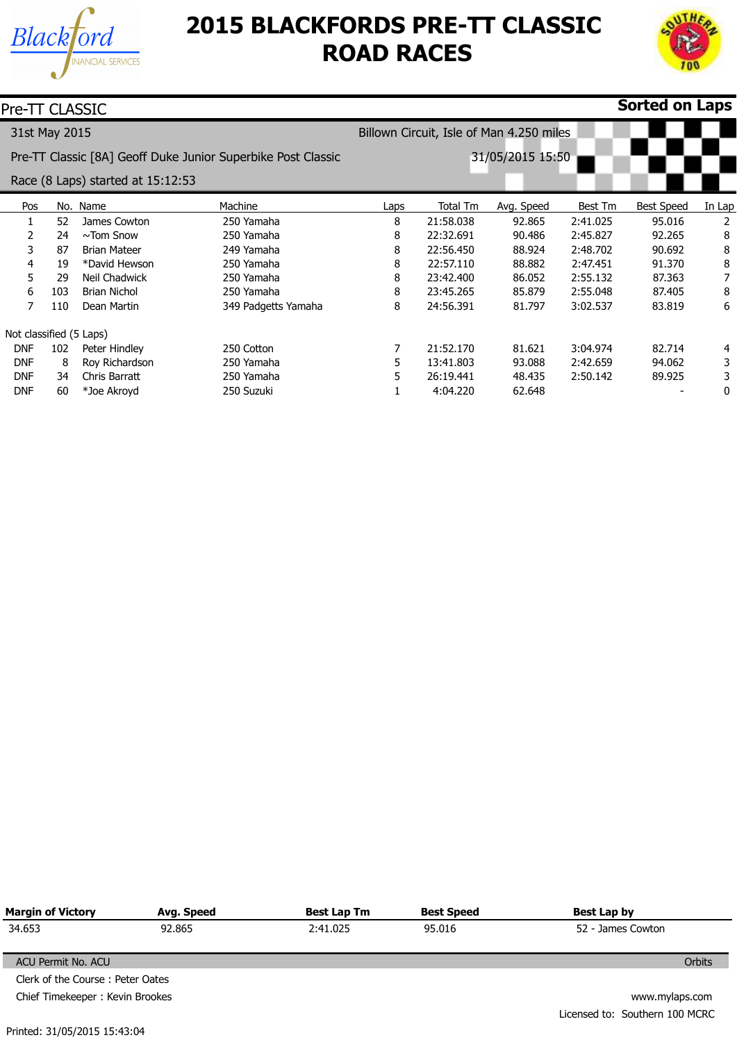



| Pre-TT CLASSIC          |     |                                   |                                                              |                                          |           |                  |          | <b>Sorted on Laps</b> |        |
|-------------------------|-----|-----------------------------------|--------------------------------------------------------------|------------------------------------------|-----------|------------------|----------|-----------------------|--------|
| 31st May 2015           |     |                                   |                                                              | Billown Circuit, Isle of Man 4.250 miles |           |                  |          |                       |        |
|                         |     |                                   | Pre-TT Classic [8A] Geoff Duke Junior Superbike Post Classic |                                          |           | 31/05/2015 15:50 |          |                       |        |
|                         |     | Race (8 Laps) started at 15:12:53 |                                                              |                                          |           |                  |          |                       |        |
| Pos                     |     | No. Name                          | Machine                                                      | Laps                                     | Total Tm  | Avg. Speed       | Best Tm  | <b>Best Speed</b>     | In Lap |
|                         | 52  | James Cowton                      | 250 Yamaha                                                   | 8                                        | 21:58.038 | 92.865           | 2:41.025 | 95.016                | 2      |
| 2                       | 24  | $\sim$ Tom Snow                   | 250 Yamaha                                                   | 8                                        | 22:32.691 | 90.486           | 2:45.827 | 92.265                | 8      |
| 3                       | 87  | <b>Brian Mateer</b>               | 249 Yamaha                                                   | 8                                        | 22:56.450 | 88.924           | 2:48.702 | 90.692                | 8      |
| 4                       | 19  | *David Hewson                     | 250 Yamaha                                                   | 8                                        | 22:57.110 | 88,882           | 2:47.451 | 91.370                | 8      |
| 5.                      | 29  | Neil Chadwick                     | 250 Yamaha                                                   | 8                                        | 23:42.400 | 86.052           | 2:55.132 | 87.363                |        |
| 6                       | 103 | <b>Brian Nichol</b>               | 250 Yamaha                                                   | 8                                        | 23:45.265 | 85,879           | 2:55.048 | 87.405                | 8      |
| 7                       | 110 | Dean Martin                       | 349 Padgetts Yamaha                                          | 8                                        | 24:56.391 | 81.797           | 3:02.537 | 83.819                | 6      |
| Not classified (5 Laps) |     |                                   |                                                              |                                          |           |                  |          |                       |        |
| <b>DNF</b>              | 102 | Peter Hindley                     | 250 Cotton                                                   | 7                                        | 21:52.170 | 81.621           | 3:04.974 | 82.714                | 4      |
| <b>DNF</b>              | 8   | Roy Richardson                    | 250 Yamaha                                                   | 5                                        | 13:41.803 | 93.088           | 2:42.659 | 94.062                | 3      |
| <b>DNF</b>              | 34  | Chris Barratt                     | 250 Yamaha                                                   | 5                                        | 26:19.441 | 48.435           | 2:50.142 | 89.925                | 3      |
| <b>DNF</b>              | 60  | *Joe Akroyd                       | 250 Suzuki                                                   |                                          | 4:04.220  | 62.648           |          |                       | 0      |

| <b>Margin of Victory</b>         | Avg. Speed    | Best Lap Tm | <b>Best Speed</b> | Best Lap by                    |  |  |  |
|----------------------------------|---------------|-------------|-------------------|--------------------------------|--|--|--|
| 34.653                           | 92.865        | 2:41.025    | 95.016            | 52 - James Cowton              |  |  |  |
|                                  |               |             |                   |                                |  |  |  |
| ACU Permit No. ACU               | <b>Orbits</b> |             |                   |                                |  |  |  |
| Clerk of the Course: Peter Oates |               |             |                   |                                |  |  |  |
| Chief Timekeeper: Kevin Brookes  |               |             |                   | www.mylaps.com                 |  |  |  |
|                                  |               |             |                   | Licensed to: Southern 100 MCRC |  |  |  |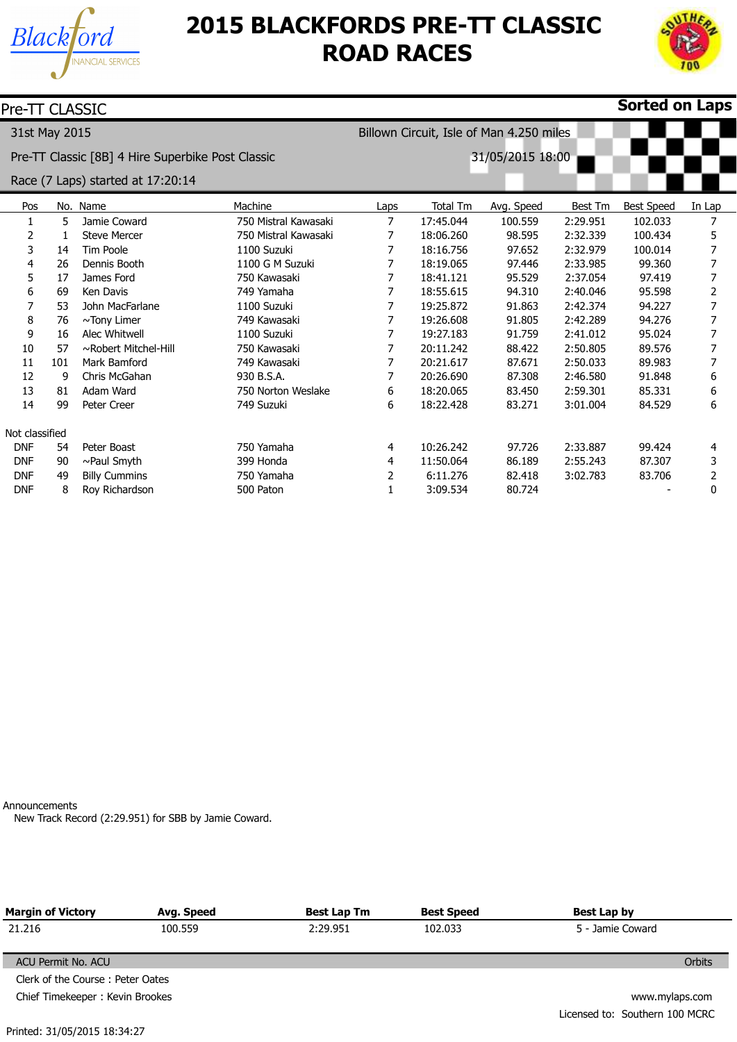



| Pre-TT CLASSIC |     |                                                   |                      |                                          |           |            |          | <b>Sorted on Laps</b> |        |  |
|----------------|-----|---------------------------------------------------|----------------------|------------------------------------------|-----------|------------|----------|-----------------------|--------|--|
| 31st May 2015  |     |                                                   |                      | Billown Circuit, Isle of Man 4.250 miles |           |            |          |                       |        |  |
|                |     | Pre-TT Classic [8B] 4 Hire Superbike Post Classic |                      | 31/05/2015 18:00                         |           |            |          |                       |        |  |
|                |     | Race (7 Laps) started at 17:20:14                 |                      |                                          |           |            |          |                       |        |  |
| Pos            |     | No. Name                                          | Machine              | Laps                                     | Total Tm  | Avg. Speed | Best Tm  | <b>Best Speed</b>     | In Lap |  |
| 1              | 5   | Jamie Coward                                      | 750 Mistral Kawasaki | 7                                        | 17:45.044 | 100.559    | 2:29.951 | 102.033               |        |  |
| 2              | 1   | <b>Steve Mercer</b>                               | 750 Mistral Kawasaki | 7                                        | 18:06.260 | 98.595     | 2:32.339 | 100.434               | 5      |  |
| 3              | 14  | <b>Tim Poole</b>                                  | 1100 Suzuki          |                                          | 18:16.756 | 97.652     | 2:32.979 | 100.014               |        |  |
| 4              | 26  | Dennis Booth                                      | 1100 G M Suzuki      |                                          | 18:19.065 | 97.446     | 2:33.985 | 99.360                |        |  |
| 5              | 17  | James Ford                                        | 750 Kawasaki         | 7                                        | 18:41.121 | 95.529     | 2:37.054 | 97.419                |        |  |
| 6              | 69  | Ken Davis                                         | 749 Yamaha           |                                          | 18:55.615 | 94.310     | 2:40.046 | 95.598                | 2      |  |
|                | 53  | John MacFarlane                                   | 1100 Suzuki          |                                          | 19:25.872 | 91.863     | 2:42.374 | 94.227                |        |  |
| 8              | 76  | ~Tony Limer                                       | 749 Kawasaki         |                                          | 19:26.608 | 91.805     | 2:42.289 | 94.276                |        |  |
| 9              | 16  | Alec Whitwell                                     | 1100 Suzuki          |                                          | 19:27.183 | 91.759     | 2:41.012 | 95.024                |        |  |
| 10             | 57  | ~Robert Mitchel-Hill                              | 750 Kawasaki         |                                          | 20:11.242 | 88.422     | 2:50.805 | 89.576                |        |  |
| 11             | 101 | Mark Bamford                                      | 749 Kawasaki         |                                          | 20:21.617 | 87.671     | 2:50.033 | 89.983                |        |  |
| 12             | 9   | Chris McGahan                                     | 930 B.S.A.           |                                          | 20:26.690 | 87.308     | 2:46.580 | 91.848                | 6      |  |
| 13             | 81  | Adam Ward                                         | 750 Norton Weslake   | 6                                        | 18:20.065 | 83.450     | 2:59.301 | 85.331                | 6      |  |
| 14             | 99  | Peter Creer                                       | 749 Suzuki           | 6                                        | 18:22.428 | 83.271     | 3:01.004 | 84.529                | 6      |  |
| Not classified |     |                                                   |                      |                                          |           |            |          |                       |        |  |
| <b>DNF</b>     | 54  | Peter Boast                                       | 750 Yamaha           | 4                                        | 10:26.242 | 97.726     | 2:33.887 | 99.424                | 4      |  |
| <b>DNF</b>     | 90  | $\sim$ Paul Smyth                                 | 399 Honda            | 4                                        | 11:50.064 | 86.189     | 2:55.243 | 87,307                | 3      |  |
| <b>DNF</b>     | 49  | <b>Billy Cummins</b>                              | 750 Yamaha           | 2                                        | 6:11.276  | 82.418     | 3:02.783 | 83.706                | 2      |  |
| <b>DNF</b>     | 8   | Roy Richardson                                    | 500 Paton            | 1                                        | 3:09.534  | 80.724     |          |                       | 0      |  |

Announcements

New Track Record (2:29.951) for SBB by Jamie Coward.

| <b>Margin of Victory</b>         | Avg. Speed     | Best Lap Tm | <b>Best Speed</b> | Best Lap by                    |  |  |
|----------------------------------|----------------|-------------|-------------------|--------------------------------|--|--|
| 21.216                           | 100.559        | 2:29.951    | 102.033           | 5 - Jamie Coward               |  |  |
| ACU Permit No. ACU               |                |             |                   | Orbits                         |  |  |
| Clerk of the Course: Peter Oates |                |             |                   |                                |  |  |
| Chief Timekeeper: Kevin Brookes  | www.mylaps.com |             |                   |                                |  |  |
|                                  |                |             |                   | Licensed to: Southern 100 MCRC |  |  |